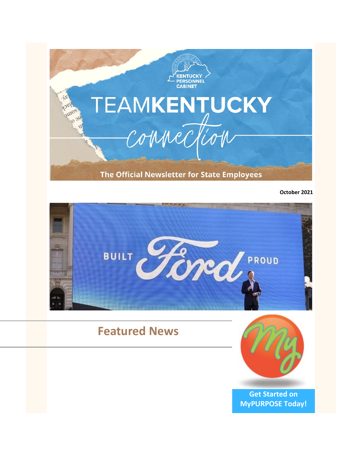

**October 2021**



# **Featured News**



**[Get Started on](https://mypurpose.ky.gov/)  [MyPURPOSE Today!](https://mypurpose.ky.gov/)**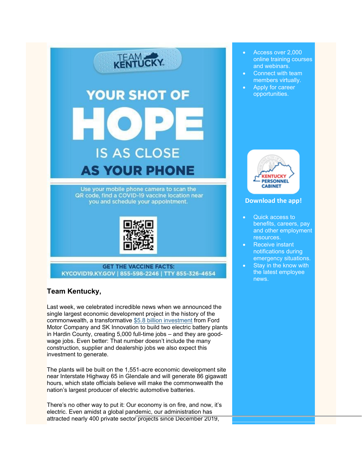

**GET THE VACCINE FACTS:** KYCOVID19.KY.GOV | 855-598-2246 | TTY 855-326-4654

# **Team Kentucky,**

Last week, we celebrated incredible news when we announced the single largest economic development project in the history of the commonwealth, a transformative [\\$5.8 billion investment](https://kentucky.gov/Pages/Activity-stream.aspx?n=GovernorBeshear&prId=981) from Ford Motor Company and SK Innovation to build two electric battery plants in Hardin County, creating 5,000 full-time jobs – and they are goodwage jobs. Even better: That number doesn't include the many construction, supplier and dealership jobs we also expect this investment to generate.

The plants will be built on the 1,551-acre economic development site near Interstate Highway 65 in Glendale and will generate 86 gigawatt hours, which state officials believe will make the commonwealth the nation's largest producer of electric automotive batteries.

There's no other way to put it: Our economy is on fire, and now, it's electric. Even amidst a global pandemic, our administration has attracted nearly 400 private sector projects since December 2019,

- Access over 2,000 online training courses and webinars.
- Connect with team members virtually.
- Apply for career opportunities.



#### **[Download the app!](https://youtu.be/HJ3xwpwmDf4)**

- Quick access to benefits, careers, pay and other employment resources.
- Receive instant notifications during emergency situations.
- Stay in the know with the latest employee news.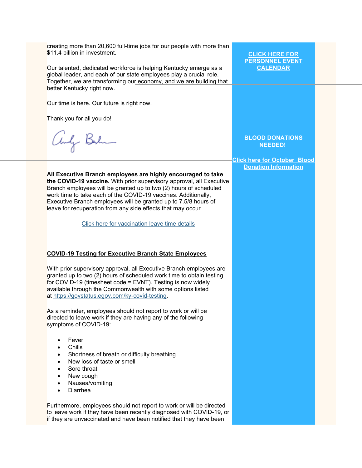creating more than 20,600 full-time jobs for our people with more than \$11.4 billion in investment. **[CLICK HERE FOR](https://personnel.ky.gov/Pages/employeeevents.aspx)  [PERSONNEL EVENT](https://personnel.ky.gov/Pages/employeeevents.aspx)**  Our talented, dedicated workforce is helping Kentucky emerge as a **[CALENDAR](https://personnel.ky.gov/Pages/employeeevents.aspx)** global leader, and each of our state employees play a crucial role. Together, we are transforming our economy, and we are building that better Kentucky right now. Our time is here. Our future is right now. Thank you for all you do! andy Berlin **BLOOD DONATIONS NEEDED! [Click here for October](https://personnel.ky.gov/Pages/Blood-Donation-Calendar-.aspx) Blood [Donation Information](https://personnel.ky.gov/Pages/Blood-Donation-Calendar-.aspx)All Executive Branch employees are highly encouraged to take the COVID-19 vaccine.** With prior supervisory approval, all Executive Branch employees will be granted up to two (2) hours of scheduled work time to take each of the COVID-19 vaccines. Additionally, Executive Branch employees will be granted up to 7.5/8 hours of leave for recuperation from any side effects that may occur. [Click here for vaccination leave time details](https://personnel.ky.gov/Personnel%20Memos/2021-02.pdf) **COVID-19 Testing for Executive Branch State Employees** With prior supervisory approval, all Executive Branch employees are granted up to two (2) hours of scheduled work time to obtain testing for COVID-19 (timesheet code = EVNT). Testing is now widely available through the Commonwealth with some options listed at [https://govstatus.egov.com/ky-covid-testing.](https://govstatus.egov.com/ky-covid-testing) As a reminder, employees should not report to work or will be directed to leave work if they are having any of the following symptoms of COVID-19: • Fever • Chills Shortness of breath or difficulty breathing • New loss of taste or smell Sore throat New cough • Nausea/vomiting • Diarrhea Furthermore, employees should not report to work or will be directed to leave work if they have been recently diagnosed with COVID-19, or if they are unvaccinated and have been notified that they have been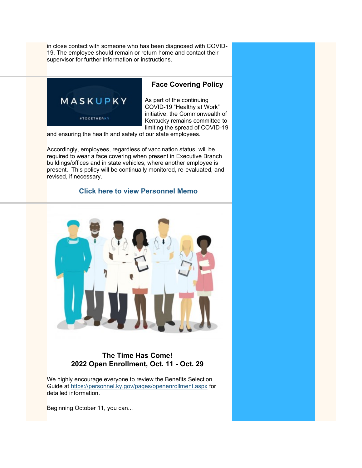in close contact with someone who has been diagnosed with COVID-19. The employee should remain or return home and contact their supervisor for further information or instructions.



### **Face Covering Policy**

As part of the continuing COVID-19 "Healthy at Work" initiative, the Commonwealth of Kentucky remains committed to limiting the spread of COVID-19

and ensuring the health and safety of our state employees.

Accordingly, employees, regardless of vaccination status, will be required to wear a face covering when present in Executive Branch buildings/offices and in state vehicles, where another employee is present. This policy will be continually monitored, re-evaluated, and revised, if necessary.

#### **[Click here to view Personnel Memo](https://personnel.ky.gov/Personnel%20Memos/2021-11.pdf)**



# **The Time Has Come! 2022 Open Enrollment, Oct. 11 - Oct. 29**

We highly encourage everyone to review the Benefits Selection Guide at <https://personnel.ky.gov/pages/openenrollment.aspx> for detailed information.

Beginning October 11, you can...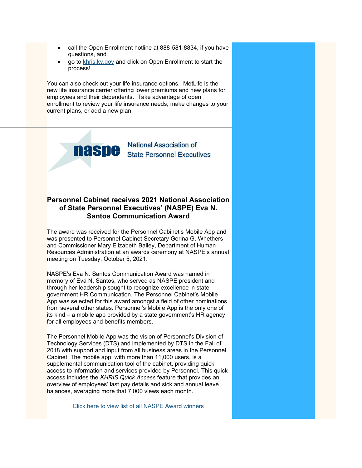- call the Open Enrollment hotline at 888-581-8834, if you have questions, and
- go to [khris.ky.gov](https://khris.ky.gov/irj/portal) and click on Open Enrollment to start the process!

You can also check out your life insurance options. MetLife is the new life insurance carrier offering lower premiums and new plans for employees and their dependents. Take advantage of open enrollment to review your life insurance needs, make changes to your current plans, or add a new plan.



### **Personnel Cabinet receives 2021 National Association of State Personnel Executives' (NASPE) Eva N. Santos Communication Award**

The award was received for the Personnel Cabinet's Mobile App and was presented to Personnel Cabinet Secretary Gerina G. Whethers and Commissioner Mary Elizabeth Bailey, Department of Human Resources Administration at an awards ceremony at NASPE's annual meeting on Tuesday, October 5, 2021.

NASPE's Eva N. Santos Communication Award was named in memory of Eva N. Santos, who served as NASPE president and through her leadership sought to recognize excellence in state government HR Communication. The Personnel Cabinet's Mobile App was selected for this award amongst a field of other nominations from several other states. Personnel's Mobile App is the only one of its kind – a mobile app provided by a state government's HR agency for all employees and benefits members.

The Personnel Mobile App was the vision of Personnel's Division of Technology Services (DTS) and implemented by DTS in the Fall of 2018 with support and input from all business areas in the Personnel Cabinet. The mobile app, with more than 11,000 users, is a supplemental communication tool of the cabinet, providing quick access to information and services provided by Personnel. This quick access includes the *KHRIS Quick Access* feature that provides an overview of employees' last pay details and sick and annual leave balances, averaging more that 7,000 views each month.

[Click here to view list of all NASPE Award winners](https://www.naspe.net/naspes-hall-of-fame)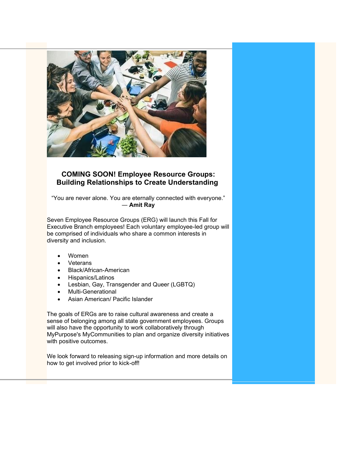

### **COMING SOON! Employee Resource Groups: Building Relationships to Create Understanding**

"You are never alone. You are eternally connected with everyone." ― **Amit Ray**

Seven Employee Resource Groups (ERG) will launch this Fall for Executive Branch employees! Each voluntary employee-led group will be comprised of individuals who share a common interests in diversity and inclusion.

- Women
- **Veterans**
- Black/African-American
- Hispanics/Latinos
- Lesbian, Gay, Transgender and Queer (LGBTQ)
- Multi-Generational
- Asian American/ Pacific Islander

The goals of ERGs are to raise cultural awareness and create a sense of belonging among all state government employees. Groups will also have the opportunity to work collaboratively through MyPurpose's MyCommunities to plan and organize diversity initiatives with positive outcomes.

We look forward to releasing sign-up information and more details on how to get involved prior to kick-off!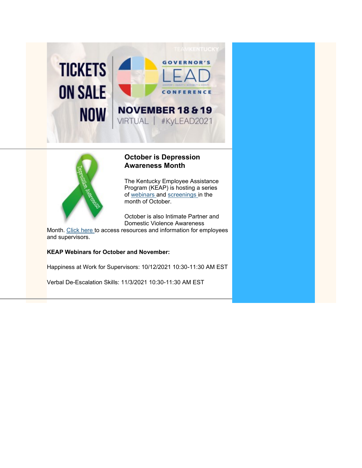



# **October is Depression Awareness Month**

The Kentucky Employee Assistance Program (KEAP) is hosting a series of [webinars](https://personnel.ky.gov/Lists/CourseCalendar/DispForm.aspx?ID=805&Source=https%3A%2F%2Fpersonnel%2Eky%2Egov%2FPages%2FCourseCalendar%2Easpx) and [screenings](https://personnel.ky.gov/Pages/Mental-Health-Concerns.aspx) in the month of October.

October is also Intimate Partner and Domestic Violence Awareness

Month. [Click here](https://personnel.ky.gov/KEAP/You%20have%20a%20right%20to%20be%20safe.pdf) to access resources and information for employees and supervisors.

#### **KEAP Webinars for October and November:**

Happiness at Work for Supervisors: 10/12/2021 10:30-11:30 AM EST

Verbal De-Escalation Skills: 11/3/2021 10:30-11:30 AM EST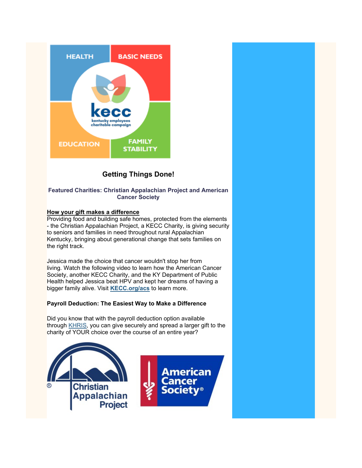

# **Getting Things Done!**

#### **Featured Charities: Christian Appalachian Project and American Cancer Society**

#### **How your gift makes a difference**

Providing food and building safe homes, protected from the elements - the Christian Appalachian Project, a KECC Charity, is giving security to seniors and families in need throughout rural Appalachian Kentucky, bringing about generational change that sets families on the right track.

Jessica made the choice that cancer wouldn't stop her from living. Watch the following video to learn how the American Cancer Society, another KECC Charity, and the KY Department of Public Health helped Jessica beat HPV and kept her dreams of having a bigger family alive. Visit **[KECC.org/acs](https://urldefense.com/v3/__https:/r20.rs6.net/tn.jsp?f=001uMuSaPWww6odPEf7lukCyF6kI1AixqslK7YnO6l--sEN_rR1-heXVT4luK3wZh2fwt6tBC8TA5yaXkqov2kjzyaVYGm5o7-xWSmGreTTSAxZA56mq2uQ4Iuj-ZqFQ52DQY9whWP247PCjX4pv0XO6A==&c=ovS9GMhRsjfN6EU9srFUunZBJY9FrK6sHnj5jiImuTEVXOUQJYVmww==&ch=9X3vmOUZ53wdxn69X4geMXf_T315B7CkkCJw4pInT65FnkJxgUqEWA==__;!!Db6frn15oIvDD3UI!1ZTDLDss88XXXXbLFRKwTFyGK4YucISJ6_4jFBuT4XUKb1TBlvK0Dx9sm62jTvBa%24)** to learn more.

#### **Payroll Deduction: The Easiest Way to Make a Difference**

Did you know that with the payroll deduction option available through [KHRIS,](https://urldefense.com/v3/__https:/r20.rs6.net/tn.jsp?f=001t_gSZNlYm6xcv5UvklXLdSLWq9rdFv315YfvY7tRV4dhJoGV-5K44CmXYxmQcYKYXog9EBJro_BqAUD969KEHrJVDx5thYzlWDFiHBkmUhFuoyCanl887sJkyCYJVfWCbptrxyf-dxo=&c=v-d_LI8i9Uu_2MXEqlsrxE6K9jj8kRkzzbPDQzWZuCGtWiDCs5CMjQ==&ch=2CBlTJEudfmrnlBMyJWqRbcBGqhy6n5B-13r_e9k3tzQID5wRTyzEg==__;!!Db6frn15oIvDD3UI!0jNZunmK1kp-ie701AuCh6CeLg7_pxY883JZ3E_At8YYUObCvdDIQDcy8Az4OVSj%24) you can give securely and spread a larger gift to the charity of YOUR choice over the course of an entire year?

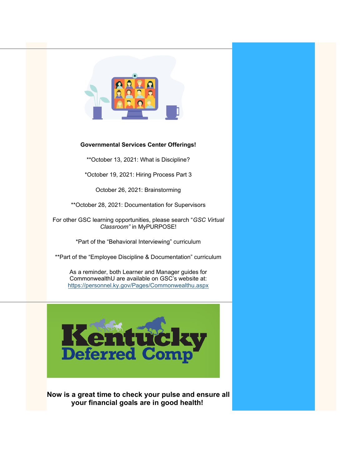

#### **Governmental Services Center Offerings!**

\*\*October 13, 2021: What is Discipline?

\*October 19, 2021: Hiring Process Part 3

October 26, 2021: Brainstorming

\*\*October 28, 2021: Documentation for Supervisors

For other GSC learning opportunities, please search "*GSC Virtual Classroom"* in MyPURPOSE!

\*Part of the "Behavioral Interviewing" curriculum

\*\*Part of the "Employee Discipline & Documentation" curriculum

As a reminder, both Learner and Manager guides for CommonwealthU are available on GSC's website at: <https://personnel.ky.gov/Pages/Commonwealthu.aspx>



**Now is a great time to check your pulse and ensure all your financial goals are in good health!**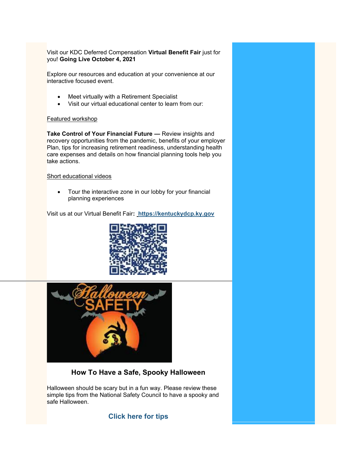Visit our KDC Deferred Compensation **Virtual Benefit Fair** just for you! **Going Live October 4, 2021**

Explore our resources and education at your convenience at our interactive focused event.

- Meet virtually with a Retirement Specialist
- Visit our virtual educational center to learn from our:

#### Featured workshop

**Take Control of Your Financial Future – Review insights and** recovery opportunities from the pandemic, benefits of your employer Plan, tips for increasing retirement readiness, understanding health care expenses and details on how financial planning tools help you take actions.

#### Short educational videos

• Tour the interactive zone in our lobby for your financial planning experiences

Visit us at our Virtual Benefit Fair**: [https://kentuckydcp.ky.gov](https://kentuckydcp.ky.gov/)** 





# **How To Have a Safe, Spooky Halloween**

Halloween should be scary but in a fun way. Please review these simple tips from the National Safety Council to have a spooky and safe Halloween.

# **[Click here for tips](https://www.nsc.org/home-safety/tools-resources/seasonal-safety/autumn/halloween)**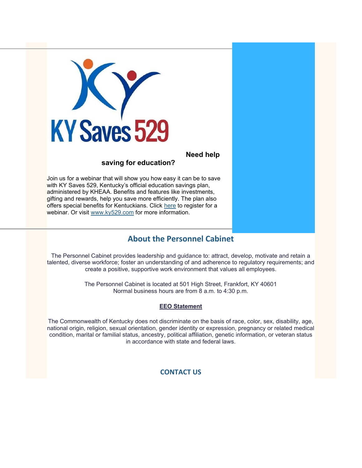

# **Need help**

# **saving for education?**

Join us for a webinar that will show you how easy it can be to save with KY Saves 529, Kentucky's official education savings plan, administered by KHEAA. Benefits and features like investments, gifting and rewards, help you save more efficiently. The plan also offers special benefits for Kentuckians. Click [here](https://urldefense.com/v3/__https:/nam04.safelinks.protection.outlook.com/?url=https*3A*2F*2Fascensus.zoom.us*2Fmeeting*2Fregister*2FtZArfuisqTMoEtTxKEVx5OX1IxGOQ_DQ04Jx&data=04*7C01*7Csteve.ivey*40uky.edu*7C1f552f106f34468b68b108d95cfb1b57*7C2b30530b69b64457b818481cb53d42ae*7C0*7C0*7C637643055844936400*7CUnknown*7CTWFpbGZsb3d8eyJWIjoiMC4wLjAwMDAiLCJQIjoiV2luMzIiLCJBTiI6Ik1haWwiLCJXVCI6Mn0*3D*7C1000&sdata=UkmWepeMcUXKgR32Ug5ftMf*2B5tj4BkrXrQITMw57m3k*3D&reserved=0__;JSUlJSUlJSUlJSUlJSUlJSUlJSU!!Db6frn15oIvDD3UI!27FGFXVAySK75PsRlNNz4rnMFujfak_-vHgt_GG5C6fXKbUWZeMWmrt3Ikl4mL6S1-VKRw%24) to register for a webinar. Or visit [www.ky529.com](https://urldefense.com/v3/__https:/nam04.safelinks.protection.outlook.com/?url=http*3A*2F*2Fwww.ky529.com*2F&data=04*7C01*7Csteve.ivey*40uky.edu*7C1f552f106f34468b68b108d95cfb1b57*7C2b30530b69b64457b818481cb53d42ae*7C0*7C0*7C637643055844946355*7CUnknown*7CTWFpbGZsb3d8eyJWIjoiMC4wLjAwMDAiLCJQIjoiV2luMzIiLCJBTiI6Ik1haWwiLCJXVCI6Mn0*3D*7C1000&sdata=NysQPm7XV4MAMhg*2FfTA9pmm9GfFetwymXvkLD8ulx3A*3D&reserved=0__;JSUlJSUlJSUlJSUlJSUlJSUl!!Db6frn15oIvDD3UI!27FGFXVAySK75PsRlNNz4rnMFujfak_-vHgt_GG5C6fXKbUWZeMWmrt3Ikl4mL6xN_95jQ%24) for more information.

# **[About the Personnel Cabinet](https://personnel.ky.gov/pages/about-cabinet.aspx)**

The Personnel Cabinet provides leadership and guidance to: attract, develop, motivate and retain a talented, diverse workforce; foster an understanding of and adherence to regulatory requirements; and create a positive, supportive work environment that values all employees.

> The Personnel Cabinet is located at 501 High Street, Frankfort, KY 40601 Normal business hours are from 8 a.m. to 4:30 p.m.

### **EEO Statement**

The Commonwealth of Kentucky does not discriminate on the basis of race, color, sex, disability, age, national origin, religion, sexual orientation, gender identity or expression, pregnancy or related medical condition, marital or familial status, ancestry, political affiliation, genetic information, or veteran status in accordance with state and federal laws.

# **[CONTACT US](https://personnel.ky.gov/pages/directory.aspx)**